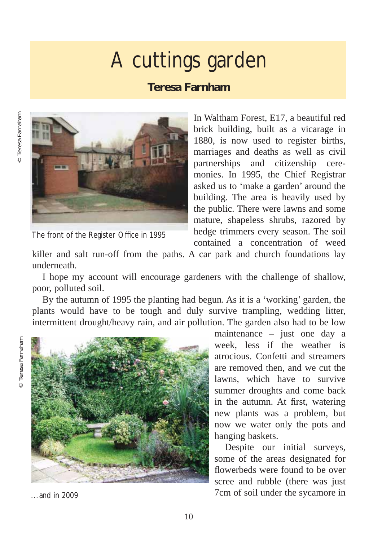## A cuttings garden

## **Teresa Farnham**



The front of the Register Office in 1995

In Waltham Forest, E17, a beautiful red brick building, built as a vicarage in 1880, is now used to register births, marriages and deaths as well as civil partnerships and citizenship ceremonies. In 1995, the Chief Registrar asked us to 'make a garden' around the building. The area is heavily used by the public. There were lawns and some mature, shapeless shrubs, razored by hedge trimmers every season. The soil contained a concentration of weed

killer and salt run-off from the paths. A car park and church foundations lay underneath.

I hope my account will encourage gardeners with the challenge of shallow, poor, polluted soil.

By the autumn of 1995 the planting had begun. As it is a 'working' garden, the plants would have to be tough and duly survive trampling, wedding litter, intermittent drought/heavy rain, and air pollution. The garden also had to be low



maintenance – just one day a week, less if the weather is atrocious. Confetti and streamers are removed then, and we cut the lawns, which have to survive summer droughts and come back in the autumn. At first, watering new plants was a problem, but now we water only the pots and hanging baskets.

Despite our initial surveys, some of the areas designated for flowerbeds were found to be over scree and rubble (there was just 7cm of soil under the sycamore in

... and in 2009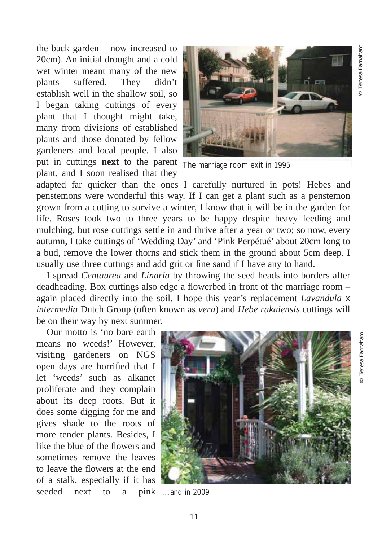the back garden – now increased to 20cm). An initial drought and a cold wet winter meant many of the new plants suffered. They didn't establish well in the shallow soil, so I began taking cuttings of every plant that I thought might take, many from divisions of established plants and those donated by fellow gardeners and local people. I also put in cuttings **next** to the parent The marriage room exit in 1995 plant, and I soon realised that they



adapted far quicker than the ones I carefully nurtured in pots! Hebes and penstemons were wonderful this way. If I can get a plant such as a penstemon grown from a cutting to survive a winter, I know that it will be in the garden for life. Roses took two to three years to be happy despite heavy feeding and mulching, but rose cuttings settle in and thrive after a year or two; so now, every autumn, I take cuttings of 'Wedding Day' and 'Pink Perpétué' about 20cm long to a bud, remove the lower thorns and stick them in the ground about 5cm deep. I usually use three cuttings and add grit or fine sand if I have any to hand.

I spread *Centaurea* and *Linaria* by throwing the seed heads into borders after deadheading. Box cuttings also edge a flowerbed in front of the marriage room – again placed directly into the soil. I hope this year's replacement *Lavandula* x *intermedia* Dutch Group (often known as *vera*) and *Hebe rakaiensis* cuttings will be on their way by next summer.

Our motto is 'no bare earth means no weeds!' However, visiting gardeners on NGS open days are horrified that I let 'weeds' such as alkanet proliferate and they complain about its deep roots. But it does some digging for me and gives shade to the roots of more tender plants. Besides, I like the blue of the flowers and sometimes remove the leaves to leave the flowers at the end of a stalk, especially if it has seeded next to a



... and in 2009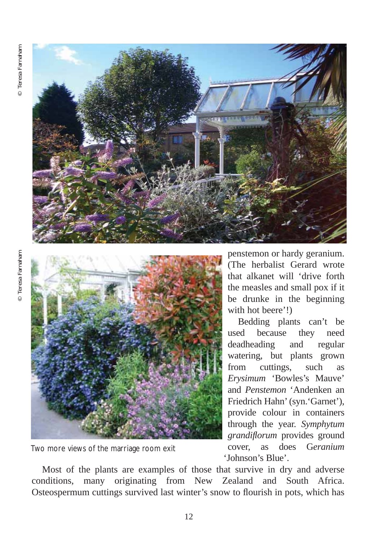



Two more views of the marriage room exit

penstemon or hardy geranium. (The herbalist Gerard wrote that alkanet will 'drive forth the measles and small pox if it be drunke in the beginning with hot beere'!)

Bedding plants can't be used because they need deadheading and regular watering, but plants grown from cuttings, such as *Erysimum* 'Bowles's Mauve' and *Penstemon* 'Andenken an Friedrich Hahn' (syn.'Garnet'), provide colour in containers through the year. *Symphytum grandiflorum* provides ground cover, as does G*eranium* 'Johnson's Blue'.

Most of the plants are examples of those that survive in dry and adverse conditions, many originating from New Zealand and South Africa. Osteospermum cuttings survived last winter's snow to flourish in pots, which has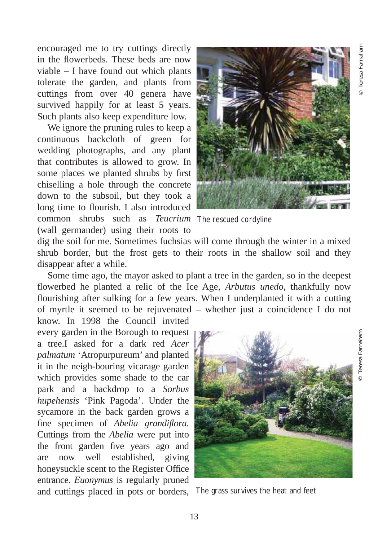© Teresa Farnaham

Teresa Farnaham

encouraged me to try cuttings directly in the flowerbeds. These beds are now viable – I have found out which plants tolerate the garden, and plants from cuttings from over 40 genera have survived happily for at least 5 years. Such plants also keep expenditure low.

We ignore the pruning rules to keep a continuous backcloth of green for wedding photographs, and any plant that contributes is allowed to grow. In some places we planted shrubs by first chiselling a hole through the concrete down to the subsoil, but they took a long time to flourish. I also introduced common shrubs such as *Teucrium* The rescued cordyline (wall germander) using their roots to



dig the soil for me. Sometimes fuchsias will come through the winter in a mixed shrub border, but the frost gets to their roots in the shallow soil and they disappear after a while.

Some time ago, the mayor asked to plant a tree in the garden, so in the deepest flowerbed he planted a relic of the Ice Age, *Arbutus unedo,* thankfully now flourishing after sulking for a few years. When I underplanted it with a cutting of myrtle it seemed to be rejuvenated – whether just a coincidence I do not

know. In 1998 the Council invited every garden in the Borough to request a tree.I asked for a dark red *Acer palmatum* 'Atropurpureum' and planted it in the neigh-bouring vicarage garden which provides some shade to the car park and a backdrop to a *Sorbus hupehensis* 'Pink Pagoda'. Under the sycamore in the back garden grows a fine specimen of *Abelia grandiflora.* Cuttings from the *Abelia* were put into the front garden five years ago and are now well established, giving honeysuckle scent to the Register Office entrance. *Euonymus* is regularly pruned and cuttings placed in pots or borders, The grass survives the heat and feet



13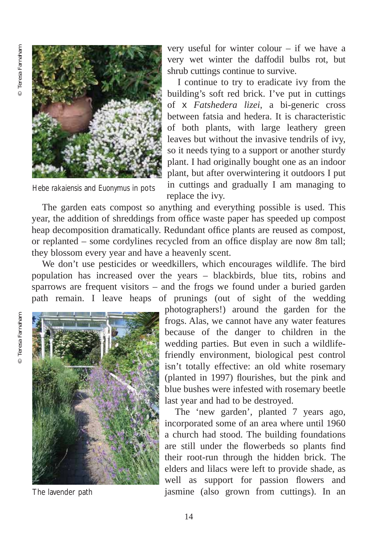

*Hebe rakaiensis* and *Euonymus* in pots

very useful for winter colour – if we have a very wet winter the daffodil bulbs rot, but shrub cuttings continue to survive.

I continue to try to eradicate ivy from the building's soft red brick. I've put in cuttings of x *Fatshedera lizei*, a bi-generic cross between fatsia and hedera. It is characteristic of both plants, with large leathery green leaves but without the invasive tendrils of ivy, so it needs tying to a support or another sturdy plant. I had originally bought one as an indoor plant, but after overwintering it outdoors I put in cuttings and gradually I am managing to replace the ivy.

The garden eats compost so anything and everything possible is used. This year, the addition of shreddings from office waste paper has speeded up compost heap decomposition dramatically. Redundant office plants are reused as compost, or replanted – some cordylines recycled from an office display are now 8m tall; they blossom every year and have a heavenly scent.

We don't use pesticides or weedkillers, which encourages wildlife. The bird population has increased over the years – blackbirds, blue tits, robins and sparrows are frequent visitors – and the frogs we found under a buried garden path remain. I leave heaps of prunings (out of sight of the wedding



The lavender path

photographers!) around the garden for the frogs. Alas, we cannot have any water features because of the danger to children in the wedding parties. But even in such a wildlifefriendly environment, biological pest control isn't totally effective: an old white rosemary (planted in 1997) flourishes, but the pink and blue bushes were infested with rosemary beetle last year and had to be destroyed.

The 'new garden', planted 7 years ago, incorporated some of an area where until 1960 a church had stood. The building foundations are still under the flowerbeds so plants find their root-run through the hidden brick. The elders and lilacs were left to provide shade, as well as support for passion flowers and jasmine (also grown from cuttings). In an